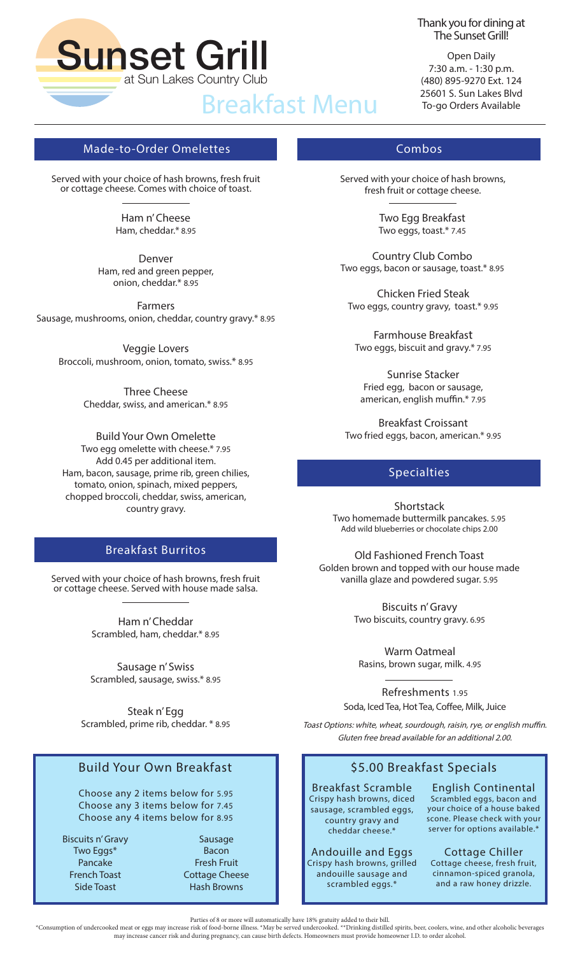

#### Thank you for dining at The Sunset Grill!

Open Daily 7:30 a.m. - 1:30 p.m. (480) 895-9270 Ext. 124 25601 S. Sun Lakes Blvd To-go Orders Available

# Made-to-Order Omelettes Combos

Served with your choice of hash browns, fresh fruit or cottage cheese. Comes with choice of toast.

> Ham n' Cheese Ham, cheddar.\* 8.95

Denver Ham, red and green pepper, onion, cheddar.\* 8.95

Farmers Sausage, mushrooms, onion, cheddar, country gravy.\* 8.95

Veggie Lovers Broccoli, mushroom, onion, tomato, swiss.\* 8.95

> Three Cheese Cheddar, swiss, and american.\* 8.95

Build Your Own Omelette Two egg omelette with cheese.\* 7.95 Add 0.45 per additional item. Ham, bacon, sausage, prime rib, green chilies, tomato, onion, spinach, mixed peppers, chopped broccoli, cheddar, swiss, american, country gravy.

# Breakfast Burritos

Served with your choice of hash browns, fresh fruit or cottage cheese. Served with house made salsa.

> Ham n' Cheddar Scrambled, ham, cheddar.\* 8.95

Sausage n' Swiss Scrambled, sausage, swiss.\* 8.95

Steak n' Egg Scrambled, prime rib, cheddar. \* 8.95

# Build Your Own Breakfast

Choose any 2 items below for 5.95 Choose any 3 items below for 7.45 Choose any 4 items below for 8.95

Biscuits n' Gravy Two Eggs\* Pancake French Toast Side Toast

Sausage Bacon Fresh Fruit Cottage Cheese Hash Browns

Served with your choice of hash browns, fresh fruit or cottage cheese.

> Two Egg Breakfast Two eggs, toast.\* 7.45

Country Club Combo Two eggs, bacon or sausage, toast.\* 8.95

Chicken Fried Steak Two eggs, country gravy, toast.\* 9.95

Farmhouse Breakfast Two eggs, biscuit and gravy.\* 7.95

Sunrise Stacker Fried egg, bacon or sausage, american, english muffin.\* 7.95

Breakfast Croissant Two fried eggs, bacon, american.\* 9.95

#### Specialties

**Shortstack** Two homemade buttermilk pancakes. 5.95 Add wild blueberries or chocolate chips 2.00

Old Fashioned French Toast Golden brown and topped with our house made vanilla glaze and powdered sugar. 5.95

> Biscuits n' Gravy Two biscuits, country gravy. 6.95

Warm Oatmeal Rasins, brown sugar, milk. 4.95

Refreshments 1.95 Soda, Iced Tea, Hot Tea, Coffee, Milk, Juice

Toast Options: white, wheat, sourdough, raisin, rye, or english muffin. Gluten free bread available for an additional 2.00.

# \$5.00 Breakfast Specials

Breakfast Scramble Crispy hash browns, diced sausage, scrambled eggs, country gravy and cheddar cheese.\*

Andouille and Eggs Crispy hash browns, grilled andouille sausage and scrambled eggs.\*

English Continental Scrambled eggs, bacon and your choice of a house baked scone. Please check with your server for options available.\*

Cottage Chiller Cottage cheese, fresh fruit, cinnamon-spiced granola, and a raw honey drizzle.

Parties of 8 or more will automatically have 18% gratuity added to their bill.

\*Consumption of undercooked meat or eggs may increase risk of food-borne illness. \*May be served undercooked. \*\*Drinking distilled spirits, beer, coolers, wine, and other alcoholic beverages may increase cancer risk and during pregnancy, can cause birth defects. Homeowners must provide homeowner I.D. to order alcohol.